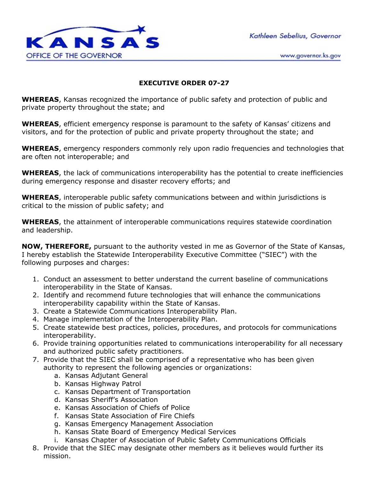Kathleen Sebelius, Governor



www.governor.ks.gov

## **EXECUTIVE ORDER 07-27**

**WHEREAS**, Kansas recognized the importance of public safety and protection of public and private property throughout the state; and

**WHEREAS**, efficient emergency response is paramount to the safety of Kansas' citizens and visitors, and for the protection of public and private property throughout the state; and

**WHEREAS**, emergency responders commonly rely upon radio frequencies and technologies that are often not interoperable; and

**WHEREAS**, the lack of communications interoperability has the potential to create inefficiencies during emergency response and disaster recovery efforts; and

**WHEREAS**, interoperable public safety communications between and within jurisdictions is critical to the mission of public safety; and

**WHEREAS**, the attainment of interoperable communications requires statewide coordination and leadership.

**NOW, THEREFORE,** pursuant to the authority vested in me as Governor of the State of Kansas, I hereby establish the Statewide Interoperability Executive Committee ("SIEC") with the following purposes and charges:

- 1. Conduct an assessment to better understand the current baseline of communications interoperability in the State of Kansas.
- 2. Identify and recommend future technologies that will enhance the communications interoperability capability within the State of Kansas.
- 3. Create a Statewide Communications Interoperability Plan.
- 4. Manage implementation of the Interoperability Plan.
- 5. Create statewide best practices, policies, procedures, and protocols for communications interoperability.
- 6. Provide training opportunities related to communications interoperability for all necessary and authorized public safety practitioners.
- 7. Provide that the SIEC shall be comprised of a representative who has been given authority to represent the following agencies or organizations:
	- a. Kansas Adjutant General
	- b. Kansas Highway Patrol
	- c. Kansas Department of Transportation
	- d. Kansas Sheriff's Association
	- e. Kansas Association of Chiefs of Police
	- f. Kansas State Association of Fire Chiefs
	- g. Kansas Emergency Management Association
	- h. Kansas State Board of Emergency Medical Services
	- i. Kansas Chapter of Association of Public Safety Communications Officials
- 8. Provide that the SIEC may designate other members as it believes would further its mission.